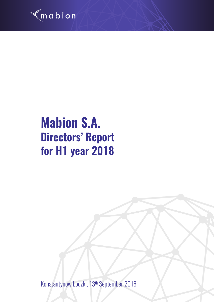

# **Mabion S.A. Directors' Report for H1 year 2018**

Konstantynów Łódzki, 13th September 2018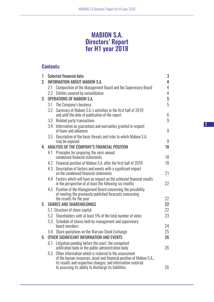# MABION S.A. Directors' Report for H1 year 2018

# Contents:

| 1       |      | Selected financial data                                                                                                            | 3  |
|---------|------|------------------------------------------------------------------------------------------------------------------------------------|----|
| $2_{-}$ |      | <b>INFORMATION ABOUT MABION S.A.</b>                                                                                               | 4  |
|         | 2.1  | Composition of the Management Board and the Supervisory Board                                                                      | 4  |
|         | 2.2  | Entities covered by consolidation                                                                                                  | 4  |
| 3.      |      | <b>OPERATIONS OF MABION S.A.</b>                                                                                                   | 5  |
|         |      | 3.1 The Company's business                                                                                                         | 5  |
|         | 3.2  | Summary of Mabion S.A.'s activities in the first half of 2018<br>and until the date of publication of the report                   | 6  |
|         |      | 3.3 Related party transactions                                                                                                     | 9  |
|         | 3.4  | Information on guarantees and warranties granted in respect<br>of loans and advances                                               | 9  |
|         | 3.5  | Description of the basic threats and risks to which Mabion S.A.<br>may be exposed                                                  | 9  |
|         |      | 4. ANALYSIS OF THE COMPANY'S FINANCIAL POSITION                                                                                    | 18 |
|         | 4.1  | Principles for preparing the semi-annual<br>condensed financial statements                                                         | 18 |
|         |      | 4.2 Financial position of Mabion S.A. after the first half of 2018                                                                 | 18 |
|         | 4.3  | Description of factors and events with a significant impact<br>on the condensed financial statements                               | 21 |
|         | 4.4  | Factors which will have an impact on the achieved financial results<br>in the perspective of at least the following six months     | 22 |
|         | 4.5  | Position of the Management Board concerning the possibility<br>of meeting the previously published forecasts concerning            | 22 |
| 5.      |      | the results for the year<br><b>SHARES AND SHAREHOLDINGS</b>                                                                        | 22 |
|         |      |                                                                                                                                    | 22 |
|         |      | 5.1. Structure of share capital<br>5.2. Shareholders with at least 5% of the total number of votes                                 | 23 |
|         |      | 5.3. Schedule of shares held by management and supervisory                                                                         |    |
|         |      | board members                                                                                                                      | 24 |
|         |      | 5.4. Share quotations on the Warsaw Stock Exchange                                                                                 | 25 |
| 6.      |      | OTHER SIGNIFICANT INFORMATION AND EVENTS                                                                                           | 26 |
|         | 6.1. | Litigation pending before the court, the competent                                                                                 |    |
|         |      | arbitration body or the public administration body                                                                                 | 26 |
|         |      | 6.2. Other information which is material to the assessment<br>of the human resources, asset and financial position of Mabion S.A., |    |
|         |      | its results and respective changes, and information material<br>to assessing its ability to discharge its liabilities              | 26 |

1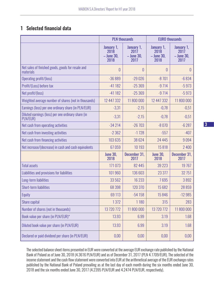# 1 Selected financial data

|                                                                |                                          | <b>PLN thousands</b>                     | <b>EURO thousands</b>                      |                                            |  |
|----------------------------------------------------------------|------------------------------------------|------------------------------------------|--------------------------------------------|--------------------------------------------|--|
|                                                                | January 1,<br>2018<br>- June 30,<br>2018 | January 1,<br>2017<br>- June 30,<br>2017 | January 1,<br>2018<br>$-$ June 30,<br>2018 | January 1,<br>2017<br>$-$ June 30,<br>2017 |  |
| Net sales of finished goods, goods for resale and<br>materials | $\theta$                                 | $\theta$                                 | 0                                          | 0                                          |  |
| Operating profit/(loss)                                        | $-36889$                                 | $-29026$                                 | $-8701$                                    | $-6834$                                    |  |
| Profit/(Loss) before tax                                       | $-41182$                                 | $-25369$                                 | $-9714$                                    | $-5973$                                    |  |
| Net profit/(loss)                                              | $-41182$                                 | $-25369$                                 | $-9714$                                    | $-5973$                                    |  |
| Weighted average number of shares (not in thousands)           | 12 447 332                               | 11 800 000                               | 12 447 332                                 | 11 800 000                                 |  |
| Earnings (loss) per one ordinary share (in PLN/EUR)            | $-3,31$                                  | $-2,15$                                  | $-0,78$                                    | $-0,51$                                    |  |
| Diluted earnings (loss) per one ordinary share (in<br>PLN/EUR) | $-3,31$                                  | $-2,15$                                  | $-0,78$                                    | $-0,51$                                    |  |
| Net cash from operating activities                             | $-34214$                                 | $-26703$                                 | $-8070$                                    | $-6287$                                    |  |
| Net cash from investing activities                             | $-2362$                                  | $-1728$                                  | $-557$                                     | $-407$                                     |  |
| Net cash from financing activities                             | 103 635                                  | 38 6 24                                  | 24 4 4 5                                   | 9094                                       |  |
| Net increase/(decrease) in cash and cash equivalents           | 67059                                    | 10 193                                   | 15818                                      | 2 4 0 0                                    |  |
|                                                                | <b>June 30,</b><br>2018                  | December 31,<br>2017                     | <b>June 30,</b><br>2018                    | December 31,<br>2017                       |  |
| <b>Total assets</b>                                            | 171 073                                  | 82 4 4 5                                 | 39 2 23                                    | 19767                                      |  |
| Liabilities and provisions for liabilities                     | 101 960                                  | 136 603                                  | 23 377                                     | 32 751                                     |  |
| Long-term liabilities                                          | 33 562                                   | 16 2 33                                  | 7695                                       | 3892                                       |  |
| <b>Short-term liabilities</b>                                  | 68 398                                   | 120 370                                  | 15 682                                     | 28859                                      |  |
| Equity                                                         | 69 113                                   | $-54158$                                 | 15846                                      | $-12985$                                   |  |
| Share capital                                                  | 1372                                     | 1 1 8 0                                  | 315                                        | 283                                        |  |
| Number of shares (not in thousands)                            | 13 720 772                               | 11 800 000                               | 13 720 772                                 | 11 800 000                                 |  |
| Book value per share (in PLN/EUR)*                             | 13.93                                    | 6.99                                     | 3.19                                       | 1.68                                       |  |
| Diluted book value per share (in PLN/EUR)                      | 13.93                                    | 6.99                                     | 3.19                                       | 1.68                                       |  |
| Declared or paid dividend per share (in PLN/EUR)               | 0,00                                     | 0,00                                     | 0,00                                       | 0,00                                       |  |

The selected balance sheet items presented in EUR were converted at the average EUR exchange rate published by the National Bank of Poland as of June 30, 2018 (4.3616 PLN/EUR) and as of December 31, 2017 (PLN 4.1709/EUR). The selected of the income statement and the cash flow statement were converted into EUR at the arithmetical average of the EUR exchange rates published by the National Bank of Poland prevailing as at the last day of each month during the six months ended June 30, 2018 and the six months ended June 30, 2017 (4.2395 PLN/EUR and 4.2474 PLN/EUR, respectively).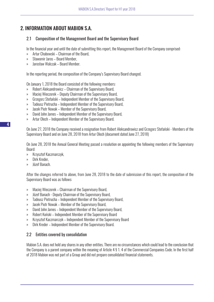# 2. INFORMATION ABOUT MABION S.A.

## 2.1 Composition of the Management Board and the Supervisory Board

In the financial year and until the date of submitting this report, the Management Board of the Company comprised:

- » Artur Chabowski Chairman of the Board,
- » Sławomir Jaros Board Member,
- » Jarosław Walczak Board Member.

In the reporting period, the composition of the Company's Supervisory Board changed.

On January 1, 2018 the Board consisted of the following members:

- » Robert Aleksandrowicz Chairman of the Supervisory Board,
- » Maciej Wieczorek Deputy Chairman of the Supervisory Board,
- » Grzegorz Stefański Independent Member of the Supervisory Board,
- » Tadeusz Pietrucha Independent Member of the Supervisory Board,
- » Jacek Piotr Nowak Member of the Supervisory Board,
- » David John James Independent Member of the Supervisory Board,
- » Artur Olech Independent Member of the Supervisory Board.

On June 27, 2018 the Company received a resignation from Robert Aleksandrowicz and Grzegorz Stefański - Members of the Supervisory Board and on June 28, 2018 from Artur Olech (document dated June 27, 2018)

On June 28, 2018 the Annual General Meeting passed a resolution on appointing the following members of the Supervisory Board:

- » Krzysztof Kaczmarczyk,
- » Dirk Kreder,
- » Józef Banach.

After the changes referred to above, from June 28, 2018 to the date of submission of this report, the composition of the Supervisory Board was as follows:

- » Maciej Wieczorek Chairman of the Supervisory Board,
- » Józef Banach Deputy Chairman of the Supervisory Board,
- » Tadeusz Pietrucha Independent Member of the Supervisory Board,
- » Jacek Piotr Nowak Member of the Supervisory Board,
- » David John James Independent Member of the Supervisory Board,
- » Robert Koński Independent Member of the Supervisory Board
- » Krzysztof Kaczmarczyk Independent Member of the Supervisory Board
- » Dirk Kreder Independent Member of the Supervisory Board.

## 2.2 Entities covered by consolidation

Mabion S.A. does not hold any shares in any other entities. There are no circumstances which could lead to the conclusion that the Company is a parent company within the meaning of Article 4 § 1. 4 of the Commercial Companies Code. In the first half of 2018 Mabion was not part of a Group and did not prepare consolidated financial statements.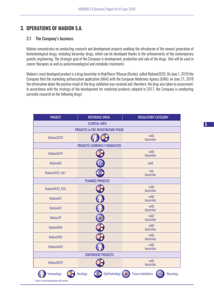# 3. OPERATIONS OF MABION S.A.

#### 3.1 The Company's business

Mabion concentrates on conducting research and development projects enabling the introducion of the newest generation of biotechnological drugs, including biosimilar drugs, which can be developed thanks to the achievements of the contemporary genetic engineering. The strategic goal of the Company is development, production and sale of the drugs that will be used in cancer tharapies as well as autoimmunological and metabolic treatments.

Mabion's most developed product is a drug biosimilar to MabThera/ Rituxan (Roche), called MabionCD20. On June 1, 2018 the Company filed the marketing authorization application (MAA) with the European Medicines Agency (EMA); on June 21, 2018 the infromation about the positive result of the drug validation was received and, therefore, the drug was taken to assessment. In accordance with the strategy of the development for medicinal products adopted in 2017, the Company is conducting currently research on the following drugs:

| <b>PROJECT</b>                                           | <b>REFERENCE DRUG</b>                     | <b>REGULATORY CATEGORY</b>                           |  |  |  |  |
|----------------------------------------------------------|-------------------------------------------|------------------------------------------------------|--|--|--|--|
|                                                          | <b>CLINICAL AREA</b>                      |                                                      |  |  |  |  |
|                                                          | <b>PROJECTS in PRE-REGISTRATION PHASE</b> |                                                      |  |  |  |  |
| MabionCD20                                               |                                           | mAB<br>biosimilar                                    |  |  |  |  |
|                                                          | <b>PROJECTS CURRENTLY CONDUCTED</b>       |                                                      |  |  |  |  |
| <b>MabionEGFR</b>                                        |                                           | mAB<br>biosimilar                                    |  |  |  |  |
| <b>MabionMS</b>                                          | සු                                        | mAB                                                  |  |  |  |  |
| MabionVEGF_Fab*                                          | $\bullet$                                 | Fab<br>biosimilar                                    |  |  |  |  |
|                                                          | <b>PLANNED PROJECTS</b>                   |                                                      |  |  |  |  |
| MabionHER2_ADC                                           |                                           | mAB<br>biosimilar                                    |  |  |  |  |
| MabionAl2                                                |                                           | mAB<br>biosimilar                                    |  |  |  |  |
| MabionAI3                                                |                                           | mAB<br>biosimilar                                    |  |  |  |  |
| <b>MabionTR</b>                                          |                                           | mAB<br>biosimilar                                    |  |  |  |  |
| MabionON4                                                |                                           | mAB<br>biosimilar                                    |  |  |  |  |
| MabionON5                                                |                                           | mAB<br>biosimilar                                    |  |  |  |  |
| MabionInAI4                                              |                                           | mAB<br>biosimilar                                    |  |  |  |  |
| <b>CONTINGENT PROJECTS</b>                               |                                           |                                                      |  |  |  |  |
| MabionHER2                                               |                                           | mAB<br>biosimilar                                    |  |  |  |  |
| Immunology<br>* Stage of ioint develonment with nartner. | Ophthalmology<br>Oncology<br>$\circ$      | <b>Tissue metabolism</b><br>၉၂၃<br>(၁၂၃<br>Neurology |  |  |  |  |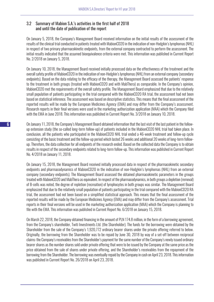## 3.2 Summary of Mabion S.A.'s activities in the first half of 2018 and until the date of publication of the report

On January 5, 2018, the Company's Management Board received information on the initial results of the assessment of the results of the clinical trial conducted in patients treated with MabionCD20 in the indication of non-Hodgkin's lymphomas (NHL) in respect of two primary pharmacokinetic endpoints, from the external company contracted to perform the assessment. The initial results indicated that the assumed bioequivalence criteria were met. This information was published in Current Report No. 2/2018 on January 5, 2018.

On January 10, 2018, the Management Board received initially processed data on the effectiveness of the treatment and the overall safety profile of MabionCD20 in the indication of non-Hodgkin's lymphomas (NHL) from an external company (secondary endpoints). Based on the data relating to the efficacy of the therapy, the Management Board assessed the patients' response to the treatment in both groups (treated with MabionCD20 and with MabThera) as comparable. In the Company's opinion, MabionCD20 met the requirements of the overall safety profile. The Management Board emphasized that due to the relatively small population of patients participating in the trial compared with the MabionCD20 RA trial, the assessment had not been based on statistical inference. The assessment was based on descriptive statistics. This means that the final assessment of the reported results will be made by the European Medicines Agency (EMA) and may differ from the Company's assessment. Research reports in their final versions were used in the marketing authorization application (MAA) which the Company filed with the EMA in June 2018. This information was published in Current Report No. 3/2018 on January 10, 2018.

On January 11, 2018, the Company's Management Board obtained information that the last visit of the last patient in the followup extension study (the so-called long-term follow-up) of patients included in the MabionCD20 NHL trial had taken place. In conclusion, all the patients who participated in the MabionCD20 NHL trial ended a 46-week treatment and follow-up cycle consisting of the basic treatment and the follow-up period which lasted 26 weeks and additional 20 weeks of long-term followup. Therefore, the data collection for all endpoints of the research ended. Based on the collected data the Company is to obtain results in respect of the secondary endpoints related to long-term follow-up. This information was published in Current Report No. 4/2018 on January 11, 2018.

On January 15, 2018, the Management Board received initially processed data in respect of the pharmacokinetic secondary endpoints and pharmacodynamics of MabionCD20 in the indication of non-Hodgkin's lymphomas (NHL) from an external company (secondary endpoints). The Management Board assessed the obtained pharmacokinetic parameters in the groups treated with MabionCD20 and MabThera as equivalent. In respect of the pharmacodynamics, in both groups a depletion (removal) of B-cells was noted, the degree of repletion (recreation) of lymphocytes in both groups was similar. The Management Board emphasized that due to the relatively small population of patients participating in the trial compared with the MabionCD20 RA trial, the assessment had not been based on a simplified statistical approach. This means that the final assessment of the reported results will be made by the European Medicines Agency (EMA) and may differ from the Company's assessment. Trial reports in their final versions will be used in the marketing authorization application (MAA) which the Company is planning to file with the EMA. This information was published in Current Report No. 6/2018 on January 15, 2018.

On March 22, 2018, the Company obtained financing in the amount of PLN 174.8 million, in the form of a borrowing agreement, from the Company's shareholder, Twiti Investments Ltd. (the Shareholder). The funds for the borrowing were obtained by the Shareholder from the sale of the Company's 1,920,772 ordinary bearer shares under the private offering referred to below. Originally, the borrowing from the Shareholder was to be repaid by June 30, 2018 by way of a set-off between reciprocal claims: the Company's receivables from the Shareholder's payment for the same number of the Company's newly issued ordinary bearer shares as the number shares sold under private offering that were to be issued by the Company at the same price as the price obtained from the sale of shares under private offering, and the Shareholder's receivables from the repayment of the borrowing from the Shareholder. The borrowing was eventually repaid by the Company in cash on April 23, 2018. This information was published in Current Report No. 26/2018 on April 23, 2018.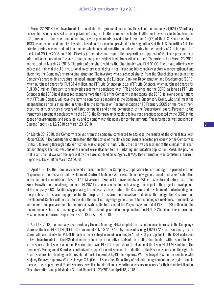On March 22, 2018, Twiti Investments Ltd. concluded the agreement concerning the sale of the Company's 1,920,772 ordinary bearer shares in its possession under private offering to a limited number of selected institutional investors, including from the U.S., pursuant to the exception concerning private placements provided for in Section 4)a)(2) of the U.S. Securities Act of 1933, as amended, and non-U.S. investors based on the exclusion provided for in Regulation S of the U.S. Securities Act. The private offering was carried out in a manner which does not constitute a public offering in the meaning of Article 3 par. 1 of the Act of 29 July 2005 on Public Offering (…) and does not require the preparation or approval of the issue prospectus or information memorandum. The sale of shares took place as block trade transactions at the GPW carried out on March 23, 2018 and settled on March 27, 2018. The price of one share sold by the Shareholder was PLN 91.00. The private offering was addressed mainly at the U.S. institutional investors specializing in healthcare and biotechnology sectors who strengthened and diversified the Company's shareholding structure. The investors who purchased shares from the Shareholder and joined the Company's shareholding structure included, among others, the European Bank for Reconstruction and Development (EBRD) which purchased shares for PLN 61.4 million, and PFR Life Science sp. z o.o. (PFR Life Science), which purchased shares for PLN 38.3 million. Pursuant to framework agreements concluded with PFR Life Science and the EBRD, as long as PFR Life Science or the EBRD hold shares representing more than 1% of the Company's share capital, the EBRD, following consultations with PFR Life Science, will have the right to nominate a candidate to the Company's Supervisory Board, who shall meet the independence criteria stipulated in Annex II to the Commission Recommendation of 15 February 2005 on the role of nonexecutive or supervisory directors of listed companies and on the committees of the (supervisory) board. Pursuant to the framework agreement concluded with the EBRD, the Company undertook to follow good practices adopted by the EBRD in the scope of environmental and social policy and to comply with the policy for combating fraud. This information was published in Current Report No. 12/2018 on March 23, 2018.

On March 22, 2018, the Company received from the company contracted to analyses the results of the clinical trial with MabionCD20 in RA patients the confirmation that the status of the clinical trial results reported previously by the Company as "initial", following thorough data verification, was changed to "final". Thus the positive assessment of the clinical trial result did not change. The final versions of the report were attached to the marketing authorization application (MAA). The positive trial results do not warrant the approval by the European Medicines Agency (EMA). This information was published in Current Report No. 13/2018 on March 23, 2018.

On April 4, 2018, the Company received information that the Company's application for co-funding of a project entitled "Expansion of the Research and Development Centre of Mabion S.A. – research on a new generation of medicines" submitted in the course of competition 2.1/2/2017 to Measure 2.1: Support for investments in R&D infrastructure of enterprises of the Smart Growth Operational Programme 2014-2020 has been selected for co-financing. The subject of the project is development of the company's R&D facilities by preparing the necessary infrastructure: the Research and Development Centre building and the purchase of research equipment for the purpose of research on innovative medicines. The designated Research and Development Centre will be used to develop the most cutting-edge generation of biotechnological medicines, – monoclonal antibodies – and prepare them for commercialization. The total cost of the Project is estimated at PLN 172.88 million and the recommended value of co-financing is equal to the amount specified in the application, i.e. PLN 63.25 million. This information was published in Current Report No. 22/2018 on April 4, 2018.

On April 18, 2018, the Company's Extraordinary General Meeting (EGM) adopted the resolution on an increase in the Company's share capital from PLN 1,180,000 to the amount of PLN 1,372,077.20 by means of issuing 1,920,772 P-series ordinary bearer shares with a nominal value PLN 0.10 each in the private placement according to Article 431 par. 2 point 1 of the KSH, addressed to Twiti Investments Ltd. The EGM decided to exclude the pre-emptive rights of the existing shareholders with respect to all Pseries shares. The issue price of one P-series share was PLN 91.00 per share (total value of the issue: PLN 174.8 million). The Company's Management Board was authorized to apply for admission and introduction of the P-series shares and the rights to P-series shares into trading on the regulated market operated by Giełda Papierów Wartościowych S.A. and to conclude with Krajowy Depozyt Papierów Wartościowych S.A. (Central Securities Depository of Poland) the agreement on the registration in the securities depository of P-series shares as well as to take all and any further necessary measures for their dematerialisation. This information was published in Current Report No. 23/2018 on April 18, 2018.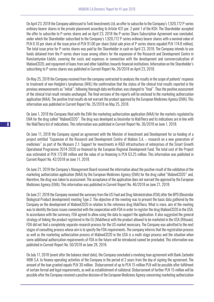On April 23, 2018 the Company addressed to Twiti Investments Ltd. an offer to subscribe to the Company's 1,920,772 P-series ordinary bearer shares in the private placement according to Article 431 par. 2 point 1 of the KSH. The Shareholder accepted the offer to subscribe to P-series shares and on April 23, 2018 the P-series Share Subscription Agreement was concluded, under which the Shareholder subscribed to the Company's 1,920,772 P-series ordinary bearer shares with a nominal value of PLN 0.10 per share at the issue price of PLN 91.00 per share (total sale price of P-series shares equaled PLN 174.8 million). The total issue price for P-series shares was paid by the Shareholder in cash on April 23, 2018. The Company intends to use funds obtained from the P-series share issue among others for the expansion of the Research and Development Centre in Konstantynów Łódzki, covering the costs and expenses in connection with the development and commercialization of MabionCD20, and repayment of loans from and other liabilities towards financial institutions. Information on the Shareholder's subscribing to P-series shares was published in Current Report No. 26/2018 on April 23, 2018.

On May 25, 2018 the Company received from the company contracted to analyses the results in the scope of patients' response to treatment of non-Hodgkin's lymphomas (NHL) the confirmation that the status of the clinical trial results reported in the previous announcements as "initial", following thorough data verification, was changed to "final". Thus the positive assessment of the clinical trial result remains unchanged. The final versions of the reports will be enclosed to the marketing authorization application (MAA). The positive trial results do not warrant the product approval by the European Medicines Agency (EMA). This information was published in Current Report No. 35/2018 on May 25, 2018.

On June 1, 2018 the Company filed with the EMA the marketing authorization application (MAA) for the markets regulated by EMA for the drug called "MabionCD20". The drug was developed as biosimilar to MabThera and its indications are in line with the MabThera list of indications. This information was published in Current Report No. 36/2018 on June 1, 2018.

On June 11, 2018 the Company signed an agreement with the Minister of Investment and Development for co-funding of a project entitled "Expansion of the Research and Development Centre of Mabion S.A. – research on a new generation of medicines" as part of the Measure 2.1: Support for investments in R&D infrastructure of enterprises of the Smart Growth Operational Programme 2014-2020 co-financed by the European Regional Development Fund. The total cost of the Project was estimated at PLN 172.88 million and the value of co-financing is PLN 63.25 million. This information was published in Current Report No. 42/2018 on June 11, 2018.

On June 21, 2018 the Company's Management Board received the information about the positive result of the validation of the marketing authorization application (MAA) by the European Medicines Agency (EMA) for the drug called "MabionCD20" and, therefore, the drug was taken to assessment. The acceptance of the application does not warrant the approval by the European Medicines Agency (EMA). This information was published in Current Report No. 46/2018 on June 21, 2018.

On June 27, 2018 the Company received the summary from the US Food and Drug Administration (FDA) after the BPD (Biosimilar Biological Product development) meeting Type 2. The objective of the meeting was to present the basic data gathered by the Company on the development of MabionCD20 in relation to the reference drug MabThera. What is more, aim of the meeting was to identify the basic issues connected with the cooperation with FDA in order to register the drug MabionCD20 in the USA. In accordance with the summary, FDA agreed to allow using the data to support the application. It also suggested the general strategy of linking the product registered in the EU (Mabthera) with the product allowed to be marketed in the USA (Rituxan). FDA did not find a completely separate research process for the US market necessary. The Company was admitted to the next stages of consulting process whose aim is to specify the FDA requirements. The company informs that the registration process as well as the marketing authorization process of MabionCD20 in the USA is a multi-stage process and the situation when some additional authorization requirements of FDA in the future will be introduced cannot be precluded. This information was published in Current Report No. 50/2018 on June 28, 2018.

On July 17, 2018 (event after the balance sheet date), the Company concluded a revolving loan agreement with Bank Zachodni WBK S.A. to finance operating activities of the Company in the period of 2 years from the day of signing the agreement. The amount of the loan granted equals PLN 30 million. Disbursement of up to PLN 15 million PLN will be possible after fulfilment of certain formal and legal requirements, as well as establishment of collateral. Disbursement of further PLN 15 million will be possible after the Company received a positive decision of the European Medicines Agency concerning marketing authorization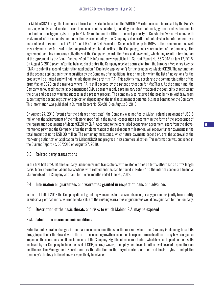for MabionCD20 drug. The loan bears interest at a variable, based on the WIBOR 1M reference rate increased by the Bank's margin, which is set at market terms. The Loan requires collateral, including a contractual mortgage (entered as item one in the land and mortgage register) up to PLN 45 million on the title to the real property in Konstantynów Łódzki along with assignment of the amounts due under the insurance policy, the Company's declaration of submission to enforcement by a notarial deed pursuant to art. 777 § 1 point 5 of the Civil Procedure Code each time up to 150% of the Loan amount, as well as surety and other forms of protection provided by related parties of the Company \_major shareholders of the Company\_. The agreement contains numerous obligations of the Company towards the Bank and covenants, which may result in termination of the agreement by the Bank, if not satisfied. This information was published in Current Report No. 55/2018 on July 17, 2018. On August 6, 2018 (event after the balance sheet date), the Company received permission from the European Medicines Agency (EMA) to submit a second registration application ("Duplicate application") for the drug called MabionCD20. The assumption of the second application is the acquisition by the Company of an additional trade name for which the list of indications for the product will be limited and will not include rheumatoid arthritis (RA). This activity may accelerate the commercialization of the drug MabionCD20 on the markets where RA is still covered by the patent protection for MabThera. At the same time, the Company announced that the above-mentioned EMA's consent is only a preliminary confirmation of the possibility of registering the drug and does not warrant success in the present process. The company also reserved the possibility to withdraw from submitting the second registration application depending on the final assessment of potential business benefits for the Company. This information was published in Current Report No. 56/2018 on August 6, 2018.

On August 27, 2018 (event after the balance sheet date), the Company was notified of Mylan Ireland's payment of USD 5 million for the achievement of the milestone specified in the mutual cooperation agreement in the form of the acceptance of the registration documents of MabionCD20 by EMA. According to the concluded cooperation agreement, apart from the abovementioned payment, the Company, after the implementation of the subsequent milestones, will receive further payments in the total amount of up to USD 30 million. The remaining milestones, which future payments depend on, are: the approval of the marketing authorization application for MabionCD20 and progress in its commercialization. This information was published in the Current Report No. 58/2018 on August 27, 2018.

## 3.3 Related party transactions

In the first half of 2018, the Company did not enter into transactions with related entities on terms other than an arm's length basis. More information about transactions with related entities can be found in Note 24 to the interim condensed financial statements of the Company as af and for the six months ended June 30, 2018.

## 3.4 Information on guarantees and warranties granted in respect of loans and advances

In the first half of 2018 the Company did not grant any warranties for loans or advances, or any guarantees jointly to one entity or subsidiary of that entity, where the total value of the existing warranties or guarantees would be significant for the Company.

## 3.5 Description of the basic threats and risks to which Mabion S.A. may be exposed

#### Risk related to the macroeconomic conditions

Potential unfavourable changes in the macroeconomic conditions on the markets where the Company is planning to sell its drugs, in particular the slow-down in the rate of economic growth or reduction in expenditure on healthcare may have a negative impact on the operations and financial results of the Company. Significant economic factors which have an impact on the results achieved by our Company include the level of GDP, average wages, unemployment level, inflation level, level of expenditure on healthcare. The Management Board monitors the situation on the target markets on a current basis, trying to adapt the Company's strategy to the changes respectively in advance.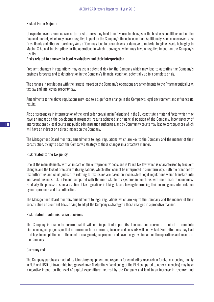#### Risk of Force Majeure

Unexpected events such as war or terrorist attacks may lead to unfavourable changes in the business conditions and on the financial market, which may have a negative impact on the Company's financial condition. Additionally, such chance events as: fires, floods and other extraordinary Acts of God may lead to break-downs or damage to material tangible assets belonging to Mabion S.A., and to disruptions in the operations in which it engages, which may have a negative impact on the Company's results.

#### Risks related to changes in legal regulations and their interpretation

Frequent changes in regulations may cause a potential risk for the Company which may lead to outdating the Company's business forecasts and to deterioration in the Company's financial condition, potentially up to a complete crisis.

The changes in regulations with the largest impact on the Company's operations are amendments to the Pharmaceutical Law, tax law and intellectual property law.

Amendments to the above regulations may lead to a significant change in the Company's legal environment and influence its results.

Also discrepancies in interpretation of the legal order prevailing in Poland and in the EU constitute a material factor which may have an impact on the development prospects, results achieved and financial position of the Company. Inconsistency of interpretations by local courts and public administration authorities, and by Community courts may lead to consequences which will have an indirect or a direct impact on the Company.

The Management Board monitors amendments to legal regulations which are key to the Company and the manner of their construction, trying to adapt the Company's strategy to those changes in a proactive manner.

#### Risk related to the tax policy

One of the main elements with an impact on the entrepreneurs' decisions is Polish tax law which is characterized by frequent changes and the lack of precision of its regulations, which often cannot be interpreted in a uniform way. Both the practices of tax authorities and court judicature relating to tax issues are based on inconsistent legal regulations which translate into increased business risk in Poland compared with the more stable tax systems in countries with more mature economies. Gradually, the process of standardization of tax regulations is taking place, allowing determining their unambiguous interpretation by entrepreneurs and tax authorities.

The Management Board monitors amendments to legal regulations which are key to the Company and the manner of their construction on a current basis, trying to adapt the Company's strategy to those changes in a proactive manner.

#### Risk related to administrative decisions

The Company is unable to ensure that it will obtain particular permits, licences and consents required to complete biotechnological projects, or that no current or future permits, licences and consents will be revoked. Such situations may lead to delays in completion or to the need to change original projects and have a negative impact on the operations and results of the Company.

#### Currency risk

The Company purchases most of its laboratory equipment and reagents for conducting research in foreign currencies, mainly in EUR and USD. Unfavourable foreign exchange fluctuations (weakening of the PLN compared to other currencies) may have a negative impact on the level of capital expenditure incurred by the Company and lead to an increase in research and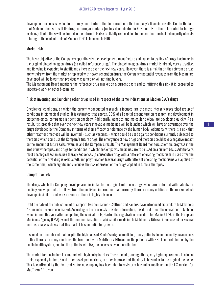development expenses, which in turn may contribute to the deterioration in the Company's financial results. Due to the fact that Mabion intends to sell its drugs on foreign markets (mainly denominated in EUR and USD), the risk related to foreign exchange fluctuations will be limited in the future. This risk is slightly reduced due to the fact that the decided majority of costs relating to the clinical trials of MabionCD20 is incurred in EUR.

#### Market risk

The basic objective of the Company's operations is the development, manufacture and launch to trading of drugs biosimilar to the original biotechnological drugs (so-called reference drugs). The biotechnological drugs market is already very attractive, and its value is expected to significantly increase over the next few years. However, there is a risk that if the reference drugs are withdrawn from the market or replaced with newer generation drugs, the Company's potential revenues from the biosimilars developed will be lower than previously assumed or will not find buyers.

The Management Board monitors the reference drug market on a current basis and to mitigate this risk it is prepared to undertake work on other biosimilars.

#### Risk of inventing and launching other drugs used in respect of the same indications as Mabion S.A.'s drugs

Oncological conditions, on which the currently conducted research is focused, are the most intensely researched group of conditions in biomedical studies. It is estimated that approx. 30% of all capital expenditure on research and development in biotechnological companies is spent on oncology. Additionally, genetics and molecular biology are developing quickly. As a result, it is probable that over the next few years innovative medicines will be launched which will have an advantage over the drugs developed by the Company in terms of their efficacy or tolerance by the human body. Additionally, there is a risk that other treatment methods will be invented – such as vaccines – which could be used against conditions currently subjected to therapies which could use the Company's future drugs. The emergence of new drugs and therapies could have a negative impact on the amount of future sales revenues and the Company's results.The Management Board monitors scientific progress in the area of new therapies and drugs for conditions in which the Company's medicines are to be used on a current basis. Additionally, most oncological schemes use therapy sequences (a consecutive drug with a different operating mechanism is used after the potential of the first drug is exhausted), and polytherapies (several drugs with different operating mechanisms are applied at the same time), which significantly reduces the risk of erosion of the drugs applied in tumour therapies.

#### Competitive risk

The drugs which the Company develops are biosimilar to the original reference drugs which are protected with patents for publicly known periods. It follows from the published information that currently there are many entities on the market which develop biosimilars and work on some of them is highly advanced.

Until the date of the publication of this report, two companies - Celltrion and Sandoz, have introduced biosimilars to MabThera / Rituxan to the European market. According to the previously provided information, this did not affect the operations of Mabion, which in June this year after completing the clinical trials, started the registration procedure for MabionCD20 in the European Medicines Agency (EMA). Even if the commercialization of a biosimilar medicine to MabThera / Rituxan is successful for several entities, analysis shows that this market has potential for growth.

It should be remembered that despite the high sales of Roche's original medicine, many patients do not currently have access to this therapy. In many countries, the treatment with MabThera / Rituxan for the patients with NHL is not reimbursed by the public health system, and for the patients with RA, the access is even more limited.

The market for biosimilars is a market with high entry barriers. These include, among others, very high requirements in clinical trials, especially in the US and other developed markets, in order to prove that the drug is biosimilar to the original medicine. This is confirmed by the fact that so far no company has been able to register a biosimilar medicine on the US market for MabThera / Rituxan.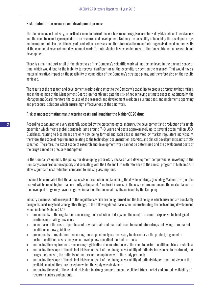#### Risk related to the research and development process

The biotechnological industry, in particular manufacture of modern biosimilar drugs, is characterized by high labour-intensiveness and the need to incur large expenditure on research and development. Not only the possibility of launching the developed drugs on the market but also the efficiency of production processes and therefore also the manufacturing costs depend on the results of the conducted research and development work. To-date Mabion has expended most of the funds obtained on research and development.

There is a risk that part or all of the objectives of the Company's scientific work will not be achieved in the planned scope or time, which would lead to the inability to recover significant or all the expenditure spent on the research. That would have a material negative impact on the possibility of completion of the Company's strategic plans, and therefore also on the results achieved.

The results of the research and development work to-date attest to the Company's capability to produce proprietary biosimilars, and in the opinion of the Management Board significantly mitigate the risk of not achieving ultimate success. Additionally, the Management Board monitors the course of the research and development work on a current basis and implements operating and procedural solutions which ensure high effectiveness of the said work.

#### Risk of underestimating manufacturing costs and launching the MabionCD20 drug

According to assumptions very generally adopted by the biotechnological industry, the development and production of a single biosimilar which meets global standards lasts around 7–9 years and costs approximately up to several dozen million USD. Guidelines relating to biosimilars are only now being formed and each case is analysed by market regulators individually, therefore, the scope of requirements relating to the technology, documentation, analytics and clinical development is not strictly specified. Therefore, the exact scope of research and development work cannot be determined and the development costs of the drugs cannot be precisely anticipated.

In the Company's opinion, the policy for developing proprietary research and development competencies, investing in the Company's own production capacity and consulting with the EMA and FDA with reference to the clinical program of MabionCD20 allow significant cost reduction compared to industry assumptions.

It cannot be eliminated that the actual costs of production and launching the developed drugs (including MabionCD20) on the market will be much higher than currently anticipated. A material increase in the costs of production and the market launch of the developed drugs may have a negative impact on the financial results achieved by the Company.

Industry dynamics, both in respect of the regulations which are being formed and the technologies which arise and are constantly being enhanced, may lead, among other things, to the following direct reasons for underestimating the costs of drug development, which includes MabionCD20:

- » amendments to the regulations concerning the production of drugs and the need to use more expensive technological solutions or creating new ones;
- » an increase in the costs of purchase of raw materials and materials used to manufacture drugs, following from market conditions or new guidelines;
- » amendments to regulations concerning the scope of analyses necessary to characterize the product, e.g. need to perform additional costly analyses or develop new analytical methods or tools;
- » increasing the requirements concerning registration documentation, e.g. the need to perform additional trials or studies;
- » increasing the scope of the clinical trials as a result of the biological variability of patients, in response to treatment, the drug's metabolism, the patients' or doctors' non-compliance with the study protocol;
- » increasing the scope of the clinical trials as a result of the biological variability of patients higher than that given in the available clinical literature based on which the study was designed;
- » increasing the cost of the clinical trials due to strong competition on the clinical trials market and limited availability of research centres and patients.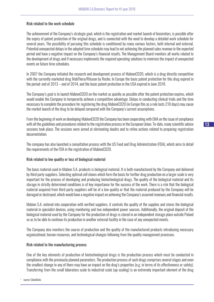#### Risk related to the work schedule

The achievement of the Company's strategic goal, which is the registration and market launch of biosimilars, is possible after the expiry of patent protection of the original drugs, and is connected with the need to develop a detailed work schedule for several years. The possibility of pursuing this schedule is conditioned by many various factors, both internal and external. Potential unexpected delays in the adopted time schedule may lead to not achieving the planned sales revenue in the expected period and have a negative impact on the Company's financial results. The Management Board monitors all works related to the development of drugs and if necessary implements the required operating solutions to minimize the impact of unexpected events on future time schedules.

In 2007 the Company initiated the research and development process of MabionCD20, which is a drug directly competitive with the currently marketed drug MabThera/Rituxan by Roche. In Europe the basic patent protection for this drug expired in the period: end of 2013 – end of 2014, and the basic patent protection in the USA expired in June 2018.

The Company's goal is to launch MabionCD20 on the market as quickly as possible after the patent protection expires, which would enable the Company to temporarily achieve a competitive advantage. Delays in conducting clinical trials and the time necessary to complete the procedure for registering the drug MabionCD20 (in Europe this as a rule lasts 210 days) may cause the market launch of the drug to be delayed compared with the Company's current assumptions.

From the beginning of work on developing MabionCD20 the Company has been cooperating with EMA on the issue of compliance with all the guidelines and procedures related to the registration process in the European Union. To-date, many scientific advice sessions took place. The sessions were aimed at eliminating doubts and to refine actions related to preparing registration documentation.

The company has also launched a consultation process with the US Food and Drug Administration (FDA), which aims to detail the requirements of the FDA in the registration of MabionCD20.

#### Risk related to low quality or loss of biological material

The basic material used in Mabion S.A. products is biological material. It is both manufactured by the Company and delivered by third party suppliers. Selecting optimal cell clones which form the basis for further drug production on a larger scale is very important for the process of developing and producing biotechnological drugs. The quality of the biological material and its storage in strictly determined conditions is of key importance for the success of the work. There is a risk that the biological material acquired from third party suppliers will be of a low quality or that the material produced by the Company will be damaged or destroyed, which would have a negative impact on achieving the Company's assumed revenues and financial results.

Mabion S.A. entered into cooperation with verified suppliers, it controls the quality of the supplies and stores the biological material in specialist devices, using monitoring and two independent power sources. Additionally, the original deposit of the biological material used by the Company for the production of drugs is stored in an independent storage place outside Poland so as to be able to continue its production in another external facility in the case of any unexpected events.

The Company also monitors the course of production and the quality of the manufactured products introducing necessary organizational, human resources, and technological changes following from the quality management processes.

#### Risk related to the manufacturing process

One of the key elements of production of biotechnological drugs is the production process which must be conducted in compliance with the previously planned parameters. The production process of such drugs comprises several stages and even the smallest change in any of them may have an impact on the drug's properties (e.g. in terms of its effectiveness or safety). Transferring from the small laboratory scale to industrial scale (up-scaling) is an extremely important element of the drug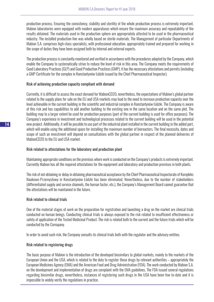production process. Ensuring the consistency, stability and sterility of the whole production process is extremely important. Mabion laboratories were equipped with modern apparatuses which ensure the maximum accuracy and repeatability of the results obtained. The materials used in the production sphere are appropriately attested to be used in the pharmaceutical industry. The installed production line was wholly based on sterile materials. The Management of particular Departments of Mabion S.A. comprises high-class specialists, with professional education, appropriately trained and prepared for working in the scope of duties they have been assigned both by internal and external experts.

The production process is constantly monitored and verified in accordance with the procedures adopted by the Company, which enable the Company to systematically strive to reduce the level of risk in this area. The Company meets the requirements of Good Laboratory Practices (GLP) and Good Production Practices (GMP), it has the necessary attestations and permits (including a GMP Certificate for the complex in Konstantynów Łódzki issued by the Chief Pharmaceutical Inspector).

#### Risk of achieving production capacity compliant with demand

Currently, it is difficult to assess the exact demand for MabionCD20, nevertheless, the expectations of Mabion's global partner related to the supply plans for sale on the EU and USA markets may lead to the need to increase production capacity over the level achievable in the current building in the scientific and industrial complex in Konstantynów Łódzki. The Company is aware of this risk and has capabilities to add another building to the existing one in the same location and on the same plot. The building may to a larger extent be used for production purposes (part of the current building is used for office purposes). The Company's experience in investment and technological processes related to the current building will be used in the potential new project. Additionally, it will be possible to use part of the industrial plant installed in the current building in the added part, which will enable using the additional space for installing the maximum number of bioreactors. The final necessity, dates and scope of such an investment will depend on consultations with the global partner in respect of the planned deliveries of MabionCD20 to the EU and USA market.

#### Risk related to attestations for the laboratory and production plant

Maintaining appropriate conditions on the premises where work is conducted on the Company's products is extremely important. Currently Mabion has all the required attestations for the equipment and laboratory and production premises in both plants.

The risk of not obtaining or delay in obtaining pharmaceutical acceptance by the Chief Pharmaceutical Inspectorate of Kompleks Naukowo-Przemysłowy in Konstantynów Łódzki has been eliminated. Nevertheless, due to the number of stakeholders (differentiated supply and service channels, the human factor, etc.), the Company's Management Board cannot guarantee that the attestations will be maintained in the future.

#### Risk related to clinical trials

One of the material stages of work on the preparation for registration and launching a drug on the market are clinical trials conducted on human beings. Conducting clinical trials is always exposed to the risk related to insufficient effectiveness or safety of application of the Tested Medicinal Product. The risk is related both to the current and the future trials which will be conducted by the Comapany.

In order to avoid such risk, the Company consults its clinical trials both with the regulator and the advisory entities.

#### Risk related to registering drugs

The basic purpose of Mabion is the introduction of the developed biosimilars to global markets, mainly to the markets of the European Union and the USA, which is related to the duty to register those drugs by relevant authorities – appropriately the European Medicines Agency (EMA) and the American Food and Drug Administration (FDA). The work conducted by Mabion S.A. on the development and implementation of drugs are complaint with the EMA guidelines. The FDA issued several regulations regarding biosimilar drugs, nevertheless, instances of registering such drugs in the USA have been few to-date and it is impossible to widely verify the regulations in practice.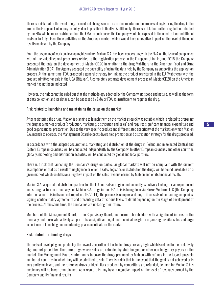There is a risk that in the event of e.g. procedural changes or errors in documentation the process of registering the drug in the area of the European Union may be delayed or impossible to finalize. Additionally, there is a risk that further regulations adopted by the FDA will be more restrictive than the EMA. In such cases the Company would be exposed to the need to incur additional costs or to fully discontinue activities on the American market, which would have a negative impact on the level of financial results achieved by the Company.

From the beginning of work on developing biosimilars, Mabion S.A. has been cooperating with the EMA on the issue of compliance with all the guidelines and procedures related to the registration process in the European Union.In June 2018 the Company presented the data on the development of MabionCD20 in relation to the drug MabThera to the American Food and Drug Administration (FDA). The Agency accepted the possibility of using the data held by the Company as supporting the application process. At the same time, FDA proposed a general strategy for linking the product registered in the EU (Mabthera) with the product admitted for sale in the USA (Rituxan). A completely separate development process of MabionCD20 on the American market has not been indicated.

However, the risk cannot be ruled out that the methodology adopted by the Company, its scope and nature, as well as the form of data collection and its details, can be assessed by EMA or FDA as insufficient to register the drug.

#### Risk related to launching and maintaining the drugs on the market

After registering the drugs, Mabion is planning to launch them on the market as quickly as possible, which is related to preparing the drug as a market product (production, marketing, distribution and sales) and requires significant financial expenditure and good organizational preparation. Due to the very specific product and differentiated specificity of the markets on which Mabion S.A. intends to operate, the Management Board expects diversified promotion and distribution strategy for the drugs produced.

In accordance with the adopted assumptions, marketing and distribution of the drugs in Poland and in selected Central and Eastern European countries will be conducted independently by the Company. In other European countries and other countries globally, marketing and distribution activities will be conducted by global and local partners.

There is a risk that launching the Company's drugs on particular global markets will not be compliant with the current assumptions or that as a result of negligence or error in sales, logistics or distribution the drugs will be found unsellable on a given market which could have a negative impact on the sales revenue earned by Mabion and on its financial results.

Mabion S.A. acquired a distribution partner for the EU and Balkan region and currently is actively looking for an experienced and strong partner to effectively sell Mabion S.A. drugs in the USA. This is being done via Plexus Ventures LLC (the Company informed about this in its current report no. 16/2014). The process is complex and long – it consists of contacting companies, signing confidentiality agreements and presenting data at various levels of detail depending on the stage of development of the process. At the same time, the companies are updating their offers.

Members of the Management Board, of the Supervisory Board, and current shareholders with a significant interest in the Company and those who actively support it have significant legal and technical insight in organizing hospital sales and large experience in launching and maintaining pharmaceuticals on the market.

#### Risk related to refunding drugs

The costs of developing and producing the newest generation of biosimilar drugs are very high, which is related to their relatively high market price later. There are drugs whose sales are refunded by state budgets or other non-budgetary payers on the market. The Management Board's intention is to cover the drugs produced by Mabion with refunds in the largest possible number of countries in which they will be admitted to sale. There is a risk that in the event that the goal is not achieved or is only partly achieved, and the reference drugs or biosimilars produced by competitors are refunded, demand for Mabion S.A.'s medicines will be lower than planned. As a result, this may have a negative impact on the level of revenues earned by the Company and its financial results.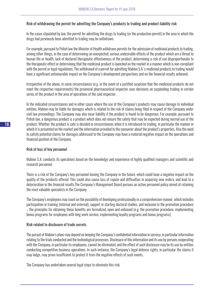#### Risk of withdrawing the permit for admitting the Company's products to trading and product liability risk

In the cases stipulated by law, the permit for admitting the drugs to trading (or the production permit) in the area in which the drugs had previously been admitted to trading may be withdrawn.

For example, pursuant to Polish law the Minister of Health withdraws permits for the admission of medicinal products to trading, among other things, in the case of determining an unexpected, serious undesirable effects of the product which are a threat to human life or health, lack of declared therapeutic effectiveness of the product, determining a risk of use disproportionate to the therapeutic effect or determining that the medicinal product is launched on the market in a manner which is non-compliant with the permit or legal regulations. The withdrawal of a permit for admitting Mabion S.A.'s medicinal products to trading would have a significant unfavourable impact on the Company's development perspectives and on the financial results achieved.

Irrespective of the above, in some circumstances (e.g. in the event of a justified suspicion that the medicinal products do not meet the respective requirements) the provincial pharmaceutical inspector uses decisions on suspending trading in certain series of the product in the area of operations of the said inspector.

In the indicated circumstances and in other cases where the use of the Company's products may cause damage to individual entities, Mabion may be liable for damages which is related to the risk of claims being filed in respect of the Company under civil law proceedings. The Company may also incur liability if the product is found to be dangerous. For example, pursuant to Polish law, a dangerous product is a product which does not ensure the safety that may be expected during normal use of the product. Whether the product is safe is decided in circumstances when it is introduced to trading, in particular the manner in which it is presented on the market and the information provided to the consumer about the product's properties. Also the need to satisfy potential claims for damages addressed to the Company may have a material negative impact on the operations and financial position of the Company.

#### Risk of loss of key personnel

Mabion S.A. conducts its operations based on the knowledge and experience of highly qualified managers and scientific and research personnel.

There is a risk of the Company's key personnel leaving the Company in the future, which could have a negative impact on the quality of the products offered. This could also cause loss of repute and difficulties in acquiring new orders, and lead to a deterioration in the financial results.The Company's Management Board pursues an active personnel policy aimed at retaining the most valuable specialists in the Company.

The Company's employees may count on the possibility of developing professionally in a comprehensive manner, which includes participation in training (internal and external), support in starting doctoral studies, and inclusion in the promotion procedure – the principles for obtaining these benefits are formalized, open and unbiased (e.g. the promotion procedure, implementing bonus programs for employees with long work service, implementing loyalty programs and bonus programs).

#### Risk related to disclosure of trade secrets

The pursuit of Mabion's plans may depend on keeping the Company's confidential information in secrecy, in particular information relating to the trials conducted and the technological processes. Disclosure of this information and its use by persons cooperating with the Company, in particular its employees, cannot be eliminated, and the effect of such disclosure may be its use by entities conducting competitive business operations. In such instance, the Company's legal defence rights, in particular the claims it may lodge, may prove insufficient to protect it from the negative effects of such events.

The Company has undertaken several legal steps to eliminate this risk.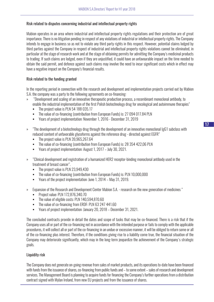#### Risk related to disputes concerning industrial and intellectual property rights

Mabion operates in an area where industrial and intellectual property rights regulations and their protection are of great importance. There is no litigation pending in respect of any violations of industrial or intellectual property rights. The Company intends to engage in business so as not to violate any third party rights in this respect. However, potential claims lodged by third parties against the Company in respect of industrial and intellectual property rights violations cannot be eliminated, in particular at the stage of research work and at the stage of obtaining permits for admitting the Company's medicinal products to trading. If such claims are lodged, even if they are unjustified, it could have an unfavourable impact on the time needed to obtain the said permit, and defence against such claims may involve the need to incur significant costs which in effect may have a negative impact on the Company's financial results.

#### Risk related to the funding granted

In the reporting period in connection with the research and development and implementation projects carried out by Mabion S.A. the company was a party to the following agreements on co-financing:

- » "Development and scaling of an innovative therapeutic production process, a recombinant monoclonal antibody, to enable the industrial implementation of the first Polish biotechnology drug for oncological and autoimmune therapies"
	- The project value is PLN 54 188 035.17
	- The value of co-financing (contribution from European Funds) is: 27 094 017.84 PLN
	- Years of project implementation: November 1, 2016 December 31, 2019
- » "The development of a biotechnology drug through the development of an innovative monoclonal IgG1 subclass with reduced content of unfavorable glycoforms against the reference drug - directed against EGFR"
	- The project value is PLN 39,965,267.64
	- The value of co-financing (contribution from European Funds) is: 28 354 422,06 PLN
	- Years of project implementation: August 1, 2017 July 30, 2021.
- » "Clinical development and registration of a humanized HER2 receptor-binding monoclonal antibody used in the treatment of breast cancer".
	- The project value is PLN 23,949,430
	- The value of co-financing (contribution from European Funds) is: PLN 10,000,000
	- Years of the project implementation: June 1, 2014 May 31, 2019.
- » Expansion of the Research and Development Center Mabion S.A. research on the new generation of medicines "
	- **Project value: PLN 172,876,340.70**
	- The value of eligible costs: PLN 140,594,870.60
	- The value of co-financing from ERDF: PLN 63 247 441.60
	- Years of project implementation: January 20, 2018 December 31, 2021.

The concluded contracts provide in detail the dates and scope of tasks that may be co-financed. There is a risk that if the Company uses all or part of the co-financing not in accordance with the intended purpose or fails to comply with the applicable procedures, it will collect all or part of the co-financing in an undue or excessive manner, it will be obliged to return some or all of the co-financing plus interest. Therefore, if the conditions giving rise to a liability come true, the financial situation of the Company may deteriorate significantly, which may in the long-term jeopardize the achievement of the Company's strategic goals.

## Liquidity risk

The Company does not generate on-going revenue from sales of market products, and its operations to-date have been financed with funds from the issuance of shares, co-financing from public funds and – to some extent – sales of research and development services. The Management Board is planning to acquire funds for financing the Company's further operations from a distribution contract signed with Mylan Ireland, from new EU projects and from the issuance of shares.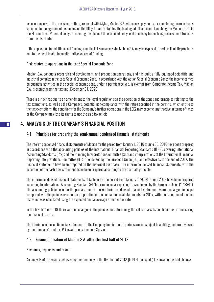In accordance with the provisions of the agreement with Mylan, Mabion S.A. will receive payments for completing the milestones specified in the agreement depending on the filing for and obtaining the trading admittance and launching the MabionCD20 in the EU countries. Potential delays in meeting the planned time schedule may lead to a delay in receiving the assumed tranches from the distributor.

If the application for additional aid funding from the EU is unsuccessful Mabion S.A. may be exposed to serious liquidity problems and to the need to obtain an alternative source of funding.

#### Risk related to operations in the Łódź Special Economic Zone

Mabion S.A. conducts research and development, and production operations, and has built a fully-equipped scientific and industrial complex in the Łódź Special Economic Zone. In accordance with the Act on Special Economic Zones the income earned on business activities in the special economic zone, under a permit received, is exempt from Corporate Income Tax. Mabion S.A. is exempt from the tax until December 31, 2026.

There is a risk that due to an amendment to the legal regulations on the operation of the zones and principles relating to the tax exemptions, as well as the Company's potential non-compliance with the ratios specified in the permits, which entitle to the tax exemptions, the conditions for the Company's further operations in the ŁSEZ may become unattractive in terms of taxes or the Company may lose its rights to use the said tax reliefs.

# 4. ANALYSIS OF THE COMPANY'S FINANCIAL POSITION

## 4.1 Principles for preparing the semi-annual condensed financial statements

The interim condensed financial statements of Mabion for the period from January 1, 2018 to June 30, 2018 have been prepared in accordance with the accounting policies of the International Financial Reporting Standards (IFRS), covering International Accounting Standards (IAS) and the Standing Interpretation Committee (SIC) and interpretations of the International Financial Reporting Interpretations Committee (IFRIC), endorsed by the European Union (EU) and effective as at the end of 2017. The financial statements have been prepared on the historical cost basis. The interim condensed financial statements, with the exception of the cash flow statement, have been prepared according to the accruals principle.

The interim condensed financial statements of Mabion for the period from January 1, 2018 to June 2018 have been prepared according to International Accounting Standard 34 "Interim financial reporting", as endorsed by the European Union ("IAS34"). The accounting policies used in the preparation for these interim condensed financial statements were unchanged in scope compared with the policies used in the preparation of the annual financial statements for 2017, with the exception of income tax which was calculated using the expected annual average effective tax rate.

In the first half of 2018 there were no changes in the policies for determining the value of assets and liabilities, or measuring the financial results.

The interim condensed financial statements of the Company for six-month periods are not subject to auditing, but are reviewed by the Company's auditor, PricewaterhouseCoopers Sp. z o.o.

## 4.2 Financial position of Mabion S.A. after the first half of 2018

## Revenues, expenses and results

An analysis of the results achieved by the Company in the first half of 2018 (in PLN thousands) is shown in the table below: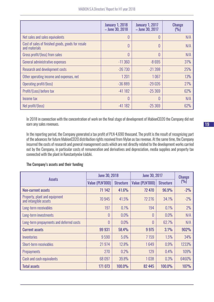|                                                                    | <b>January 1, 2018</b><br>- June 30, 2018 | <b>January 1, 2017</b><br>$-$ June 30, 2017 | <b>Change</b><br>(9) |
|--------------------------------------------------------------------|-------------------------------------------|---------------------------------------------|----------------------|
| Net sales and sales equivalents                                    |                                           | 0                                           | N/A                  |
| Cost of sales of finished goods, goods for resale<br>and materials | $\Omega$                                  | 0                                           | N/A                  |
| Gross profit/(loss) from sales                                     | $\theta$                                  | 0                                           | N/A                  |
| General administrative expenses                                    | $-11360$                                  | $-8695$                                     | 31%                  |
| Research and development costs                                     | $-26730$                                  | $-21398$                                    | 25%                  |
| Other operating income and expenses, net                           | 1201                                      | 1067                                        | 13%                  |
| Operating profit/(loss)                                            | $-36889$                                  | $-29026$                                    | 27%                  |
| Profit/(Loss) before tax                                           | $-41182$                                  | $-25369$                                    | 62%                  |
| Income tax                                                         | $\Omega$                                  | 0                                           | N/A                  |
| Net profit/(loss)                                                  | $-41182$                                  | $-25369$                                    | 62%                  |

In 2018 in connection with the concentration of work on the final stage of development of MabionCD20 the Company did not earn any sales revenues.

In the reporting period, the Company generated a tax profit of PLN 4,690 thousand. The profit is the result of recognizing part of the advances for future MabionCD20 distribution rights received from Mylan as tax revenue. At the same time, the Company incurred the costs of research and general management costs which are not directly related to the development works carried out by the Company, in particular costs of remuneration and derivatives and depreciation, media supplies and property tax connected with the plant in Konstantynów Łódzki.

## The Company's assets and their funding

|                                                        | <b>June 30, 2018</b> |                  |                 | <b>June 30, 2017</b> |             |  |
|--------------------------------------------------------|----------------------|------------------|-----------------|----------------------|-------------|--|
| <b>Assets</b>                                          | Value (PLN'000)      | <b>Structure</b> | Value (PLN'000) | <b>Structure</b>     | (9/0)       |  |
| <b>Non-current assets</b>                              | 71 142               | 41.6%            | 72 470          | 96.9%                | $-2%$       |  |
| Property, plant and equipment<br>and intangible assets | 70945                | 41.5%            | 72 276          | 34.1%                | $-2%$       |  |
| Long-term receivables                                  | 197                  | 0.1%             | 194             | 0.1%                 | 2%          |  |
| Long-term investments                                  | 0                    | 0.0%             | 0               | 0.0%                 | N/A         |  |
| Long-term prepayments and deferred costs               | 0                    | 0.0%             | 0               | 62.7%                | N/A         |  |
| <b>Current assets</b>                                  | 99 931               | 58.4%            | 9 9 7 5         | 3.1%                 | 902%        |  |
| Inventories                                            | 9590                 | 5.6%             | 7159            | 1.5%                 | 34%         |  |
| Short-term receivables                                 | 21974                | 12.8%            | 1649            | 0.9%                 | 1233%       |  |
| <b>Prepayments</b>                                     | 270                  | 0.2%             | 129             | 0.4%                 | 109%        |  |
| Cash and cash equivalents                              | 68097                | 39.8%            | 1038            | 0.3%                 | 6460%       |  |
| <b>Total assets</b>                                    | 171 073              | 100.0%           | 82 445          | 100.0%               | <b>107%</b> |  |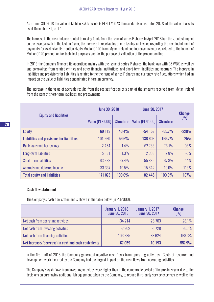As of June 30, 2018 the value of Mabion S.A.'s assets is PLN 171,073 thousand; this constitutes 207% of the value of assets as of December 31, 2017.

The increase in the cash balance related to raising funds from the issue of series P shares in April 2018 had the greatest impact on the asset growth in the last half year, the increase in receivables due to issuing an invoice regarding the next installment of payments for exclusive distribution rights MabionCD20 from Mylan Ireland and increase inventories related to the launch of MabionCD20 production for technical purposes and for the purpose of validation of the production line.

In 2018 the Company financed its operations mainly with the issue of series P shares, the bank loan with BZ WBK as well as and borrowings from related entities and other financial institutions, and short-term liabilities and accruals. The increase in liabilities and provisions for liabilities is related to the the issue of series P shares and currency rate fluctuations which had an impact on the value of liabilities denominated in foreign currency.

The increase in the value of accruals results from the reclassification of a part of the amounts received from Mylan Ireland from the item of short-term liabilities and prepayments.

|                                            | <b>June 30, 2018</b> |                  | <b>June 30, 2017</b> | <b>Change</b>    |             |
|--------------------------------------------|----------------------|------------------|----------------------|------------------|-------------|
| <b>Equity and liabilities</b>              | Value (PLN'000)      | <b>Structure</b> | Value (PLN'000)      | <b>Structure</b> | (9/0)       |
| <b>Equity</b>                              | 69 113               | 40.4%            | $-54158$             | $-65.7%$         | $-228%$     |
| Liabilities and provisions for liabilities | 101 960              | 59.6%            | 136 603              | 165.7%           | $-25%$      |
| <b>Bank loans and borrowings</b>           | 2454                 | 1.4%             | 62768                | 76.1%            | $-96%$      |
| Long-term liabilities                      | 2 181                | 1.3%             | 2 3 0 8              | 2.8%             | $-6%$       |
| <b>Short-term liabilities</b>              | 63988                | 37.4%            | 55885                | 67.8%            | 14%         |
| Accruals and deferred income               | 33 337               | 19.5%            | 15642                | 19.0%            | 113%        |
| <b>Total equity and liabilities</b>        | 171 073              | 100.0%           | 82 445               | 100.0%           | <b>107%</b> |

#### Cash flow statement

The Company's cash flow statement is shown in the table below (in PLN'000):

|                                                      | <b>January 1, 2018</b><br>$-$ June 30, 2018 | <b>January 1, 2017</b><br>$-$ June 30, 2017 | <b>Change</b><br>(9/0) |
|------------------------------------------------------|---------------------------------------------|---------------------------------------------|------------------------|
| Net cash from operating activities                   | $-34214$                                    | $-26703$                                    | 28.1%                  |
| Net cash from investing activities                   | $-2362$                                     | $-1728$                                     | 36.7%                  |
| Net cash from financing activities                   | 103 635                                     | 38 6 24                                     | 168.3%                 |
| Net increase/(decrease) in cash and cash equivalents | 67059                                       | 10 193                                      | 557.9%                 |

In the first half of 2018 the Company generated negative cash flows from operating activities. Costs of research and development work incurred by the Company had the largest impact on the cash flows from operating activities.

The Company's cash flows from investing activities were higher than in the comparable period of the previous year due to the decisions on purchasing additional lab equipment taken by the Company, to reduce third-party service expenses as well as the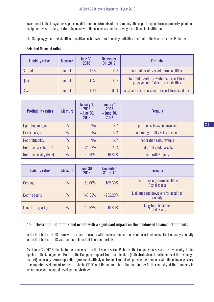investment in the IT systems supporting different departments of the Company. The capital expenditure on property, plant and equipment was to a large extent financed with finance leases and borrowing from financial institutions.

The Company generated significant positive cash flows from financing activities in effect of the issue of series P shares.

#### Selected financial ratios

| Liquidity ratios | <b>Measure</b> | <b>June 30,</b><br>2018 | <b>December</b><br>31, 2017 | <b>Formula</b>                                                                     |
|------------------|----------------|-------------------------|-----------------------------|------------------------------------------------------------------------------------|
| <b>Current</b>   | multiple       | 1.46                    | 0.08                        | current assets / short-term liabilities                                            |
| Ouick            | multiple       | 1.32                    | 0.02                        | (current assets - inventories - short-term<br>prepayments)/ short-term liabilities |
| Cash             | multiple       | 1.00                    | 0.01                        | cash and cash equivalents / short-term liabilities                                 |

| <b>Profitability ratios</b> | <b>Measure</b> | January 1,<br>2018<br>$-$ June 30,<br>2018 | January 1,<br>2017<br>$-$ June 30,<br>2017 | <b>Formula</b>                   |
|-----------------------------|----------------|--------------------------------------------|--------------------------------------------|----------------------------------|
| Operating margin            | $\frac{0}{0}$  | N/A                                        | N/A                                        | profit on sales/sales revenue    |
| Gross margin                | $\frac{0}{0}$  | N/A                                        | N/A                                        | operating profit / sales revenue |
| Net profitability           | $\frac{0}{0}$  | N/A                                        | N/A                                        | net profit / sales revenue       |
| Return on assets (ROA)      | $\frac{0}{0}$  | $-24.07%$                                  | $-30.77%$                                  | net profit / total assets        |
| Return on equity (ROE)      | $\frac{0}{0}$  | $-59.59%$                                  | 46.84%                                     | net profit / equity              |

| <b>Liability ratios</b> | <b>Measure</b> | <b>June 30,</b><br>2018 | <b>December</b><br>31, 2017 | <b>Formula</b>                                         |
|-------------------------|----------------|-------------------------|-----------------------------|--------------------------------------------------------|
| Gearing                 | $\frac{0}{0}$  | 59.60%                  | 165.69%                     | short- and long-term liabilities<br>/ total assets     |
| Debt to equity          | $\frac{0}{0}$  | 147.53%                 | $-252.23%$                  | Liabilities and provisions for liabilities<br>/ equity |
| Long-term gearing       | $\frac{0}{0}$  | 19.62%                  | 19.69%                      | long-term liabilities<br>/ total assets                |

## 4.3 Description of factors and events with a significant impact on the condensed financial statements

In the first half of 2018 there were no one-off events with the exception of the event described below. The Company's activity in the first half of 2018 was comparable to that in earlier periods.

As of June 30, 2018, thanks to the proceeds from the issue of series P shares, the Company possesses positive equity. In the opinion of the Management Board of the Company, support from shareholders (both strategic and participants of the exchange market) and a long-term cooperation agreement with Mylan Ireland Limited will provide the Company with financing necessary to complete development related to MabionCD20 and its commercialization and justify further activity of the Company in accordance with adopted development strategy.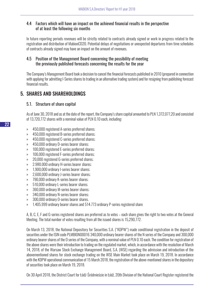## 4.4 Factors which will have an impact on the achieved financial results in the perspective of at least the following six months

In future reporting periods revenues will be strictly related to contracts already signed or work in progress related to the registration and distribution of MabionCD20. Potential delays of negotiations or unexpected departures from time schedules of contracts already signed may have an impact on the amount of revenues.

## 4.5 Position of the Management Board concerning the possibility of meeting the previously published forecasts concerning the results for the year

The Company's Management Board took a decision to cancel the financial forecasts published in 2010 (prepared in connection with applying for admitting I-Series shares to trading in an alternative trading system) and for resigning from publishing forecast financial results.

# 5. SHARES AND SHAREHOLDINGS

## 5.1. Structure of share capital

As of June 30, 2018 and as at the date of the report, the Company's share capital amounted to PLN 1,372,077,20 and consisted of 13,720,772 shares with a nominal value of PLN 0.10 each, including:

- » 450,000 registered A-series preferred shares;
- » 450,000 registered B-series preferred shares;
- » 450,000 registered C-series preferred shares;
- » 450,000 ordinary D-series bearer shares;
- » 100,000 registered E-series preferred shares;
- » 100,000 registered F-series preferred shares;
- » 20,000 registered G-series preferred shares;
- » 2.980.000 ordinary H-series bearer shares;
- » 1,900,000 ordinary I-series bearer shares;
- » 2,600,000 ordinary J-series bearer shares;
- » 790,000 ordinary K-series bearer shares;
- » 510,000 ordinary L-series bearer shares;
- » 360,000 ordinary M-series bearer shares;
- » 340,000 ordinary N-series bearer shares;
- » 300,000 ordinary O-series bearer shares.
- » 1.405.999 ordinary bearer shares and 514.773 ordinary P-series registered share

A, B, C, E, F and G-series registered shares are preferred as to votes – each share gives the right to two votes at the General Meeting. The total number of votes resulting from all the issued shares is 15,290,772.

On March 13, 2018, the National Depository for Securities S.A. ("KDPW") made conditional registration in the deposit of securities under the ISIN code PLMBION00016 340,000 ordinary bearer shares of the N series of the Company and 300,000 ordinary bearer shares of the O series of the Company, with a nominal value of PLN 0.10 each. The condition for registration of the above shares were their introduction to trading on the regulated market, which, in accordance with the resolution of March 14, 2018, of the Warsaw Stock Exchange Management Board, S.A. (WSE) regarding the admission and introduction of the abovementioned shares for stock exchange trading on the WSE Main Market took place on March 19, 2018. In accordance with the KDPW operational communication of 15 March 2018, the registration of the above-mentioned shares in the depository of securities took place on March 19, 2018.

On 30 April 2018, the District Court for Łódź-Śródmieście in Łódź, 20th Division of the National Court Register registered the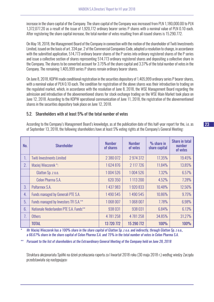increase in the share capital of the Company. The share capital of the Company was increased from PLN 1,180,000.00 to PLN 1,372,077.20 as a result of the issue of 1,920,772 ordinary bearer series P shares with a nominal value of PLN 0.10 each. After registering the share capital increase, the total number of votes resulting from all issued shares is 15.290.772.

On May 18, 2018, the Management Board of the Company in connection with the motion of the shareholder of Twiti Investments Limited, issued on the basis of art. 334 par. 2 of the Commercial Companies Code, adopted a resolution to change, in accordance with the submitted application, 514,773 ordinary bearer shares of the P series into ordinary registered shares of the P series and issue a collective section of shares representing 514.773 ordinary registered shares and depositing a collective share in the Company. The shares to be converted account for 3.75% of the share capital and 3.37% of the total number of votes in the Company. The remaining 1,405,999 series P shares remain ordinary bearer shares.

On June 8, 2018, KDPW made conditional registration in the securities depository of 1,405,999 ordinary series P bearer shares, with a nominal value of PLN 0.10 each. The condition for registration of the above shares was their introduction to trading on the regulated market, which, in accordance with the resolution of June 8, 2018, the WSE Management Board regarding the admission and introduction of the abovementioned shares for stock exchange trading on the WSE Main Market took place on June 12, 2018. According to the KDPW operational communication of June 11, 2018, the registration of the abovementioned shares in the securities depository took place on June 12, 2018.

## 5.2. Shareholders with at least 5% of the total number of votes

According to the Company's Management Board's knowledge, as at the publication date of this half-year report for the, i.e. as of September 13, 2018, the following shareholders have at least 5% voting rights at the Company's General Meeting:

| No. | <b>Shareholder</b>                     | <b>Number</b><br>of shares | <b>Number</b><br>of votes | $%$ share in<br>share capital | <b>Share in total</b><br>number<br>of votes |
|-----|----------------------------------------|----------------------------|---------------------------|-------------------------------|---------------------------------------------|
| 1.  | <b>Twiti Investments Limited</b>       | 2 380 072                  | 2 974 372                 | 17.35%                        | 19.45%                                      |
| 2.  | Maciej Wieczorek*:                     | 1624876                    | 2 117 726                 | 11.84%                        | 13.85%                                      |
|     | Glatton Sp. z o.o.                     | 1004526                    | 1004 526                  | 7.32%                         | 6.57%                                       |
|     | Celon Pharma S.A.                      | 620 350                    | 1113 200                  | 4.52%                         | 7.28%                                       |
| 3.  | Polfarmex S.A.                         | 1 437 983                  | 1920833                   | 10.48%                        | 12.56%                                      |
| 4.  | Funds managed by Generali PTE S.A.     | 1490545                    | 1490545                   | 10.86%                        | 9.75%                                       |
| 5.  | Funds managed by Investors TFI S.A.**  | 1068007                    | 1068007                   | 7.78%                         | 6.98%                                       |
| 6.  | Nationale Nederlanden PTE S.A. Funds** | 938031                     | 938 031                   | 6.84%                         | 6.13%                                       |
| 7.  | <b>Others</b>                          | 4781258                    | 4 781 258                 | 34.85%                        | 31.27%                                      |
|     | <b>TOTAL</b>                           | 13 720 772                 | 15 290 772                | <b>100%</b>                   | <b>100%</b>                                 |

*\* Mr Maciej Wieczorek has a 100% share in the share capital of Glatton Sp. z o.o. and indirectly, through Glatton Sp. z o.o., a 66.67% share in the share capital of Celon Pharma S.A. and 75% in the total number of votes in Celon Pharma S.A.*

*\*\* Pursuant to the list of shareholders at the Extraordinary General Meeting of the Company held on June 28, 2018*

Struktura akcjonariatu Spółki na dzień przekazania raportu za I kwartał 2018 roku (30 maja 2018 r.) według wiedzy Zarządu przedstawiała się następująco: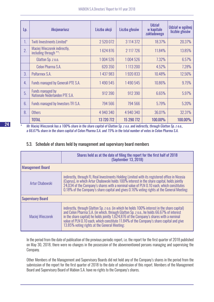| Lp. | <b>Akcjonariusz</b>                                   | Liczba akcji | Liczba głosów | <b>Udział</b><br>w kapitale<br>zakładowego | Udział w ogólnej<br>liczbie głosów |
|-----|-------------------------------------------------------|--------------|---------------|--------------------------------------------|------------------------------------|
| 1.  | Twiti Investments Limited*                            | 2 520 072    | 3 114 372     | 18.37%                                     | 20.37%                             |
| 2.  | Maciej Wieczorek indirectly,<br>including through **: | 1624876      | 2 117 7 26    | 11.84%                                     | 13.85%                             |
|     | Glatton Sp. z o.o.                                    | 1004526      | 1004526       | 7.32%                                      | 6.57%                              |
|     | Celon Pharma S.A.                                     | 620 350      | 1113200       | 4.52%                                      | 7.28%                              |
| 3.  | Polfarmex S.A.                                        | 1 437 983    | 1920833       | 10.48%                                     | 12.56%                             |
| 4.  | Funds managed by Generali PTE S.A.                    | 1490545      | 1490545       | 10.86%                                     | 9.75%                              |
| 5.  | Funds managed by<br>Nationale Nederlanden PTE S.A.    | 912 390      | 912 390       | 6.65%                                      | 5.97%                              |
| 6.  | Funds managed by Investors TFI S.A.                   | 794 566      | 794 566       | 5.79%                                      | 5.20%                              |
| 8.  | <b>Others</b>                                         | 4 940 340    | 4 940 340     | 36.01%                                     | 32.31%                             |
|     | <b>TOTAL</b>                                          | 13 720 772   | 15 290 772    | 100.00%                                    | <b>100.00%</b>                     |

*\* Mr Maciej Wieczorek has a 100% share in the share capital of Glatton Sp. z o.o. and indirectly, through Glatton Sp. z o.o., a 66.67% share in the share capital of Celon Pharma S.A. and 75% in the total number of votes in Celon Pharma S.A.*

## 5.3. Schedule of shares held by management and supervisory board members

|                          | Shares held as at the date of filing the report for the first half of 2018<br>(September 13, 2018)                                                                                                                                                                                                                                                                                                                              |  |
|--------------------------|---------------------------------------------------------------------------------------------------------------------------------------------------------------------------------------------------------------------------------------------------------------------------------------------------------------------------------------------------------------------------------------------------------------------------------|--|
| <b>Management Board</b>  |                                                                                                                                                                                                                                                                                                                                                                                                                                 |  |
| Artur Chabowski          | indirectly, through FL Real Investments Holding Limited with its registered office in Nicosia<br>(Cyprus), in which Artur Chabowski holds 100% interest in the share capital, holds jointly<br>24,034 of the Company's shares with a nominal value of PLN 0.10 each, which constitutes<br>0.18% of the Company's share capital and gives 0.16% voting rights at the General Meeting;                                            |  |
| <b>Supervisory Board</b> |                                                                                                                                                                                                                                                                                                                                                                                                                                 |  |
| Maciej Wieczorek         | indirectly, through Glatton Sp. z o.o. (in which he holds 100% interest in the share capital)<br>and Celon Pharma S.A. (in which, through Glatton Sp. z o.o., he holds 66.67% of interest<br>in the share capital) he holds jointly 1,624,876 of the Company's shares with a nominal<br>value of PLN 0.10 each, which constitute 11.84% of the Company's share capital and give<br>13.85% voting rights at the General Meeting; |  |

In the period from the date of publication of the previous periodic report, i.e. the report for the first quarter of 2018 published on May 30, 2018, there were no changes in the possession of the abovementioned persons managing and supervising the Company.

Other Members of the Management and Supervisory Boards did not hold any of the Company's shares in the period from the submission of the report for the first quarter of 2018 to the date of submission of this report. Members of the Management Board and Supervisory Board of Mabion S.A. have no rights to the Company's shares.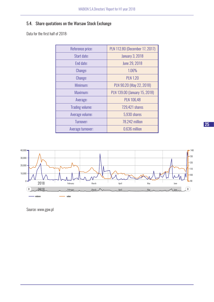# 5.4. Share quotations on the Warsaw Stock Exchange

Data for the first half of 2018:

| Reference price:       | PLN 112.80 (December 17, 2017) |
|------------------------|--------------------------------|
| Start date:            | <b>January 3, 2018</b>         |
| End date:              | June 29, 2018                  |
| Change:                | 1.06%                          |
| Change:                | <b>PLN 1.20</b>                |
| Minimum:               | PLN 90.20 (May 22, 2018)       |
| Maximum:               | PLN 139.00 (January 15, 2018)  |
| Average:               | <b>PLN 106,48</b>              |
| <b>Trading volume:</b> | 729,421 shares                 |
| Average volume:        | 5,930 shares                   |
| Turnover:              | 78.242 million                 |
| Average turnover:      | 0.636 million                  |



Source: www.gpw.pl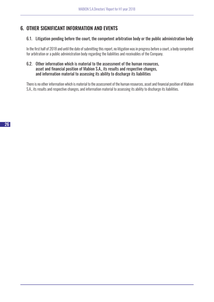# 6. OTHER SIGNIFICANT INFORMATION AND EVENTS

## 6.1. Litigation pending before the court, the competent arbitration body or the public administration body

In the first half of 2018 and until the date of submitting this report, no litigation was in progress before a court, a body competent for arbitration or a public administration body regarding the liabilities and receivables of the Company.

#### 6.2. Other information which is material to the assessment of the human resources, asset and financial position of Mabion S.A., its results and respective changes, and information material to assessing its ability to discharge its liabilities

There is no other information which is material to the assessment of the human resources, asset and financial position of Mabion S.A., its results and respective changes, and information material to assessing its ability to discharge its liabilities.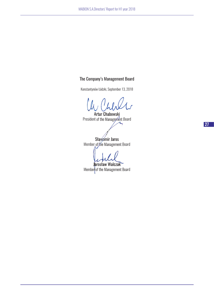## The Company's Management Board

Konstantynów Łódzki, September 13, 2018

Artur Chabowski President of the Management Board

Sławomir Jaros Member of the Management Board

Jarosław Walczak

Member of the Management Board

27